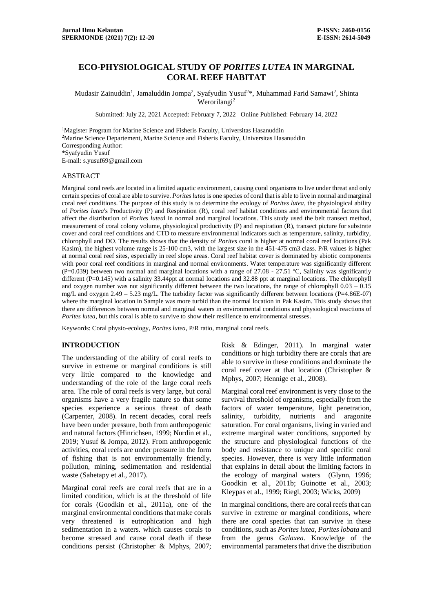# **ECO-PHYSIOLOGICAL STUDY OF** *PORITES LUTEA* **IN MARGINAL CORAL REEF HABITAT**

Mudasir Zainuddin<sup>1</sup>, Jamaluddin Jompa<sup>2</sup>, Syafyudin Yusuf<sup>2\*</sup>, Muhammad Farid Samawi<sup>2</sup>, Shinta Werorilangi<sup>2</sup>

Submitted: July 22, 2021 Accepted: February 7, 2022 Online Published: February 14, 2022

<sup>1</sup>Magister Program for Marine Science and Fisheris Faculty, Universitas Hasanuddin <sup>2</sup>Marine Science Departement, Marine Science and Fisheris Faculty, Universitas Hasanuddin Corresponding Author: \*Syafyudin Yusuf E-mail: s.yusuf69@gmail.com

#### ABSTRACT

Marginal coral reefs are located in a limited aquatic environment, causing coral organisms to live under threat and only certain species of coral are able to survive. *Porites lutea* is one species of coral that is able to live in normal and marginal coral reef conditions. The purpose of this study is to determine the ecology of *Porites lutea*, the physiological ability of *Porites lutea*'s Productivity (P) and Respiration (R), coral reef habitat conditions and environmental factors that affect the distribution of *Porites lutea*l in normal and marginal locations. This study used the belt transect method, measurement of coral colony volume, physiological productivity (P) and respiration (R), transect picture for substrate cover and coral reef conditions and CTD to measure environmental indicators such as temperature, salinity, turbidity, chlorophyll and DO. The results shows that the density of *Porites* coral is higher at normal coral reef locations (Pak Kasim), the highest volume range is 25-100 cm3, with the largest size in the 451-475 cm3 class. P/R values is higher at normal coral reef sites, especially in reef slope areas. Coral reef habitat cover is dominated by abiotic components with poor coral reef conditions in marginal and normal environments. Water temperature was significantly different (P=0.039) between two normal and marginal locations with a range of 27.08 - 27.51 °C, Salinity was significantly different (P=0.145) with a salinity 33.44ppt at normal locations and 32.88 ppt at marginal locations. The chlorophyll and oxygen number was not significantly different between the two locations, the range of chlorophyll  $0.03 - 0.15$ mg/L and oxygen 2.49 – 5.23 mg/L. The turbidity factor was significantly different between locations (P=4.86E-07) where the marginal location in Sample was more turbid than the normal location in Pak Kasim. This study shows that there are differences between normal and marginal waters in environmental conditions and physiological reactions of *Porites lutea*, but this coral is able to survive to show their resilience to environmental stresses.

Keywords: Coral physio-ecology, *Porites lutea,* P/R ratio, marginal coral reefs.

# **INTRODUCTION**

The understanding of the ability of coral reefs to survive in extreme or marginal conditions is still very little compared to the knowledge and understanding of the role of the large coral reefs area. The role of coral reefs is very large, but coral organisms have a very fragile nature so that some species experience a serious threat of death (Carpenter, 2008). In recent decades, coral reefs have been under pressure, both from anthropogenic and natural factors (Hinrichsen, 1999; Nurdin et al., 2019; Yusuf & Jompa, 2012). From anthropogenic activities, coral reefs are under pressure in the form of fishing that is not environmentally friendly, pollution, mining, sedimentation and residential waste (Sahetapy et al., 2017).

Marginal coral reefs are coral reefs that are in a limited condition, which is at the threshold of life for corals (Goodkin et al., 2011a), one of the marginal environmental conditions that make corals very threatened is eutrophication and high sedimentation in a waters. which causes corals to become stressed and cause coral death if these conditions persist (Christopher & Mphys, 2007; Risk & Edinger, 2011). In marginal water conditions or high turbidity there are corals that are able to survive in these conditions and dominate the coral reef cover at that location (Christopher & Mphys, 2007; Hennige et al., 2008).

Marginal coral reef environment is very close to the survival threshold of organisms, especially from the factors of water temperature, light penetration, salinity, turbidity, nutrients and aragonite saturation. For coral organisms, living in varied and extreme marginal water conditions, supported by the structure and physiological functions of the body and resistance to unique and specific coral species. However, there is very little information that explains in detail about the limiting factors in the ecology of marginal waters (Glynn, 1996; Goodkin et al., 2011b; Guinotte et al., 2003; Kleypas et al., 1999; Riegl, 2003; Wicks, 2009)

In marginal conditions, there are coral reefs that can survive in extreme or marginal conditions, where there are coral species that can survive in these conditions, such as *Porites lutea*, *Porites lobata* and from the genus *Galaxea*. Knowledge of the environmental parameters that drive the distribution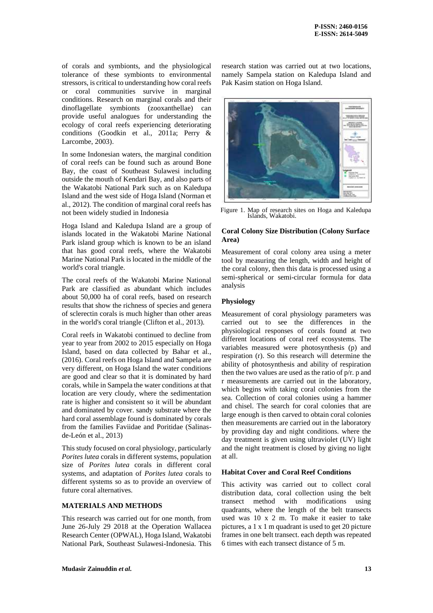of corals and symbionts, and the physiological tolerance of these symbionts to environmental stressors, is critical to understanding how coral reefs or coral communities survive in marginal conditions. Research on marginal corals and their dinoflagellate symbionts (zooxanthellae) can provide useful analogues for understanding the ecology of coral reefs experiencing deteriorating conditions (Goodkin et al., 2011a; Perry & Larcombe, 2003).

In some Indonesian waters, the marginal condition of coral reefs can be found such as around Bone Bay, the coast of Southeast Sulawesi including outside the mouth of Kendari Bay, and also parts of the Wakatobi National Park such as on Kaledupa Island and the west side of Hoga Island (Norman et al., 2012). The condition of marginal coral reefs has not been widely studied in Indonesia

Hoga Island and Kaledupa Island are a group of islands located in the Wakatobi Marine National Park island group which is known to be an island that has good coral reefs, where the Wakatobi Marine National Park is located in the middle of the world's coral triangle.

The coral reefs of the Wakatobi Marine National Park are classified as abundant which includes about 50,000 ha of coral reefs, based on research results that show the richness of species and genera of sclerectin corals is much higher than other areas in the world's coral triangle (Clifton et al., 2013).

Coral reefs in Wakatobi continued to decline from year to year from 2002 to 2015 especially on Hoga Island, based on data collected by Bahar et al., (2016). Coral reefs on Hoga Island and Sampela are very different, on Hoga Island the water conditions are good and clear so that it is dominated by hard corals, while in Sampela the water conditions at that location are very cloudy, where the sedimentation rate is higher and consistent so it will be abundant and dominated by cover. sandy substrate where the hard coral assemblage found is dominated by corals from the families Faviidae and Poritidae (Salinasde-León et al., 2013)

This study focused on coral physiology, particularly *Porites lutea* corals in different systems, population size of *Porites lutea* corals in different coral systems, and adaptation of *Porites lutea* corals to different systems so as to provide an overview of future coral alternatives.

# **MATERIALS AND METHODS**

This research was carried out for one month, from June 26-July 29 2018 at the Operation Wallacea Research Center (OPWAL), Hoga Island, Wakatobi National Park, Southeast Sulawesi-Indonesia. This research station was carried out at two locations, namely Sampela station on Kaledupa Island and Pak Kasim station on Hoga Island.



Figure 1. Map of research sites on Hoga and Kaledupa Islands, Wakatobi.

# **Coral Colony Size Distribution (Colony Surface Area)**

Measurement of coral colony area using a meter tool by measuring the length, width and height of the coral colony, then this data is processed using a semi-spherical or semi-circular formula for data analysis

# **Physiology**

Measurement of coral physiology parameters was carried out to see the differences in the physiological responses of corals found at two different locations of coral reef ecosystems. The variables measured were photosynthesis (p) and respiration (r). So this research will determine the ability of photosynthesis and ability of respiration then the two values are used as the ratio of p/r. p and r measurements are carried out in the laboratory, which begins with taking coral colonies from the sea. Collection of coral colonies using a hammer and chisel. The search for coral colonies that are large enough is then carved to obtain coral colonies then measurements are carried out in the laboratory by providing day and night conditions. where the day treatment is given using ultraviolet (UV) light and the night treatment is closed by giving no light at all.

#### **Habitat Cover and Coral Reef Conditions**

This activity was carried out to collect coral distribution data, coral collection using the belt transect method with modifications using quadrants, where the length of the belt transects used was 10 x 2 m. To make it easier to take pictures, a 1 x 1 m quadrant is used to get 20 picture frames in one belt transect. each depth was repeated 6 times with each transect distance of 5 m.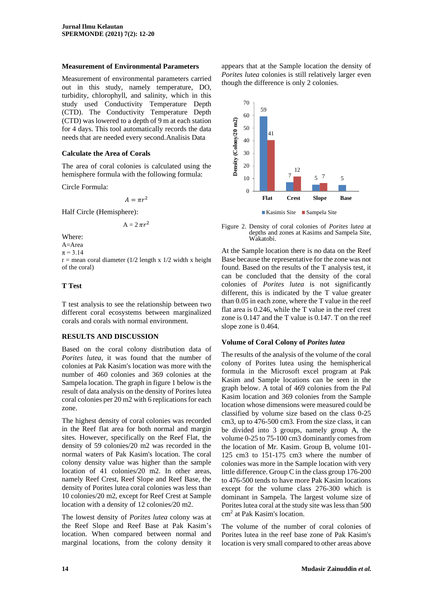#### **Measurement of Environmental Parameters**

Measurement of environmental parameters carried out in this study, namely temperature, DO, turbidity, chlorophyll, and salinity, which in this study used Conductivity Temperature Depth (CTD). The Conductivity Temperature Depth (CTD) was lowered to a depth of 9 m at each station for 4 days. This tool automatically records the data needs that are needed every second.Analisis Data

#### **Calculate the Area of Corals**

The area of coral colonies is calculated using the hemisphere formula with the following formula:

Circle Formula:

 $A = \pi r^2$ 

Half Circle (Hemisphere):

$$
A=2\,\pi r^2
$$

Where:

A=Area

 $\pi = 3.14$ 

 $r =$  mean coral diameter (1/2 length x 1/2 width x height of the coral)

#### **T Test**

T test analysis to see the relationship between two different coral ecosystems between marginalized corals and corals with normal environment.

# **RESULTS AND DISCUSSION**

Based on the coral colony distribution data of *Porites lutea*, it was found that the number of colonies at Pak Kasim's location was more with the number of 460 colonies and 369 colonies at the Sampela location. The graph in figure 1 below is the result of data analysis on the density of Porites lutea coral colonies per 20 m2 with 6 replications for each zone.

The highest density of coral colonies was recorded in the Reef flat area for both normal and margin sites. However, specifically on the Reef Flat, the density of 59 colonies/20 m2 was recorded in the normal waters of Pak Kasim's location. The coral colony density value was higher than the sample location of 41 colonies/20 m2. In other areas, namely Reef Crest, Reef Slope and Reef Base, the density of Porites lutea coral colonies was less than 10 colonies/20 m2, except for Reef Crest at Sample location with a density of 12 colonies/20 m2.

The lowest density of *Porites lutea* colony was at the Reef Slope and Reef Base at Pak Kasim's location. When compared between normal and marginal locations, from the colony density it appears that at the Sample location the density of *Porites lutea* colonies is still relatively larger even though the difference is only 2 colonies.



Figure 2. Density of coral colonies of *Porites lutea* at depths and zones at Kasims and Sampela Site, Wakatobi.

At the Sample location there is no data on the Reef Base because the representative for the zone was not found. Based on the results of the T analysis test, it can be concluded that the density of the coral colonies of *Porites lutea* is not significantly different, this is indicated by the T value greater than 0.05 in each zone, where the T value in the reef flat area is 0.246, while the T value in the reef crest zone is 0.147 and the T value is 0.147. T on the reef slope zone is 0.464.

# **Volume of Coral Colony of** *Porites lutea*

The results of the analysis of the volume of the coral colony of Porites lutea using the hemispherical formula in the Microsoft excel program at Pak Kasim and Sample locations can be seen in the graph below. A total of 469 colonies from the Pal Kasim location and 369 colonies from the Sample location whose dimensions were measured could be classified by volume size based on the class 0-25 cm3, up to 476-500 cm3. From the size class, it can be divided into 3 groups, namely group A, the volume 0-25 to 75-100 cm3 dominantly comes from the location of Mr. Kasim. Group B, volume 101- 125 cm3 to 151-175 cm3 where the number of colonies was more in the Sample location with very little difference. Group C in the class group 176-200 to 476-500 tends to have more Pak Kasim locations except for the volume class 276-300 which is dominant in Sampela. The largest volume size of Porites lutea coral at the study site was less than 500 cm<sup>2</sup> at Pak Kasim's location.

The volume of the number of coral colonies of Porites lutea in the reef base zone of Pak Kasim's location is very small compared to other areas above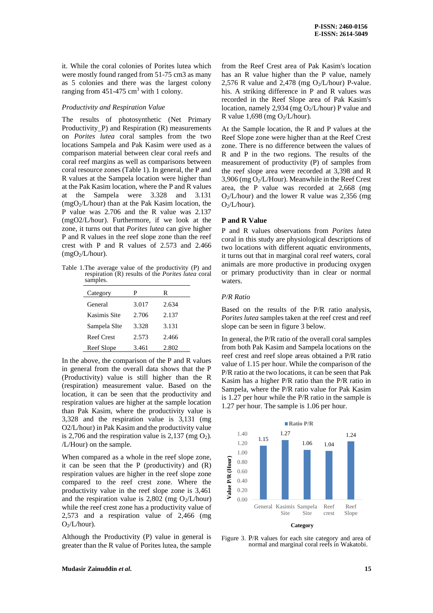it. While the coral colonies of Porites lutea which were mostly found ranged from 51-75 cm3 as many as 5 colonies and there was the largest colony ranging from  $451-475$  cm<sup>3</sup> with 1 colony.

#### *Productivity and Respiration Value*

The results of photosynthetic (Net Primary Productivity\_P) and Respiration (R) measurements on *Porites lutea* coral samples from the two locations Sampela and Pak Kasim were used as a comparison material between clear coral reefs and coral reef margins as well as comparisons between coral resource zones (Table 1). In general, the P and R values at the Sampela location were higher than at the Pak Kasim location, where the P and R values at the Sampela were 3.328 and 3.131  $(mgO<sub>2</sub>/L/hour)$  than at the Pak Kasim location, the P value was 2.706 and the R value was 2.137 (mgO2/L/hour). Furthermore, if we look at the zone, it turns out that *Porites lutea* can give higher P and R values in the reef slope zone than the reef crest with P and R values of 2.573 and 2.466  $(mgO<sub>2</sub>/L/hour)$ .

Table 1.The average value of the productivity (P) and respiration (R) results of the *Porites lutea* coral samples.

| P     | R     |
|-------|-------|
| 3.017 | 2.634 |
| 2.706 | 2.137 |
| 3.328 | 3.131 |
| 2.573 | 2.466 |
| 3.461 | 2.802 |
|       |       |

In the above, the comparison of the P and R values in general from the overall data shows that the P (Productivity) value is still higher than the R (respiration) measurement value. Based on the location, it can be seen that the productivity and respiration values are higher at the sample location than Pak Kasim, where the productivity value is 3,328 and the respiration value is 3,131 (mg O2/L/hour) in Pak Kasim and the productivity value is 2,706 and the respiration value is  $2,137$  (mg  $O<sub>2</sub>$ ). /L/Hour) on the sample.

When compared as a whole in the reef slope zone, it can be seen that the  $P$  (productivity) and  $(R)$ respiration values are higher in the reef slope zone compared to the reef crest zone. Where the productivity value in the reef slope zone is 3,461 and the respiration value is 2,802 (mg  $O_2/L/h$ our) while the reef crest zone has a productivity value of 2,573 and a respiration value of 2,466 (mg  $O<sub>2</sub>/L/hour$ ).

Although the Productivity (P) value in general is greater than the R value of Porites lutea, the sample from the Reef Crest area of Pak Kasim's location has an R value higher than the P value, namely 2,576 R value and 2,478 (mg  $O_2/L/h$ our) P-value. his. A striking difference in P and R values was recorded in the Reef Slope area of Pak Kasim's location, namely 2,934 (mg  $O_2/L/h$ our) P value and R value 1.698 (mg  $O_2/L/h$ our).

At the Sample location, the R and P values at the Reef Slope zone were higher than at the Reef Crest zone. There is no difference between the values of R and P in the two regions. The results of the measurement of productivity (P) of samples from the reef slope area were recorded at 3,398 and R 3,906 (mg O2/L/Hour). Meanwhile in the Reef Crest area, the P value was recorded at 2,668 (mg  $O<sub>2</sub>/L/hour)$  and the lower R value was 2,356 (mg)  $O<sub>2</sub>/L/hour$ ).

#### **P and R Value**

P and R values observations from *Porites lutea* coral in this study are physiological descriptions of two locations with different aquatic environments, it turns out that in marginal coral reef waters, coral animals are more productive in producing oxygen or primary productivity than in clear or normal waters.

#### *P/R Ratio*

Based on the results of the P/R ratio analysis, *Porites lutea* samples taken at the reef crest and reef slope can be seen in figure 3 below.

In general, the P/R ratio of the overall coral samples from both Pak Kasim and Sampela locations on the reef crest and reef slope areas obtained a P/R ratio value of 1.15 per hour. While the comparison of the P/R ratio at the two locations, it can be seen that Pak Kasim has a higher P/R ratio than the P/R ratio in Sampela, where the P/R ratio value for Pak Kasim is 1.27 per hour while the P/R ratio in the sample is 1.27 per hour. The sample is 1.06 per hour.



Figure 3. P/R values for each site category and area of normal and marginal coral reefs in Wakatobi.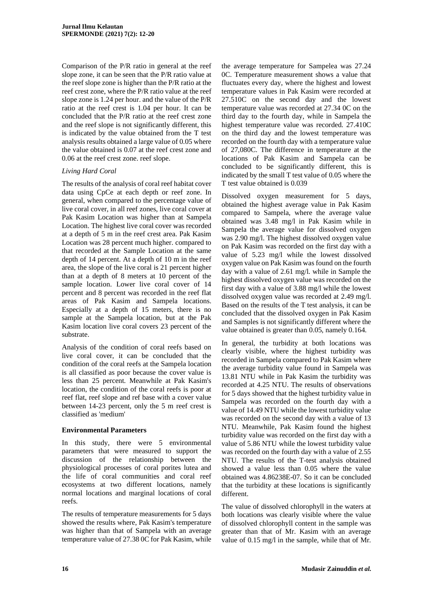Comparison of the P/R ratio in general at the reef slope zone, it can be seen that the P/R ratio value at the reef slope zone is higher than the P/R ratio at the reef crest zone, where the P/R ratio value at the reef slope zone is 1.24 per hour. and the value of the P/R ratio at the reef crest is 1.04 per hour. It can be concluded that the P/R ratio at the reef crest zone and the reef slope is not significantly different, this is indicated by the value obtained from the T test analysis results obtained a large value of 0.05 where the value obtained is 0.07 at the reef crest zone and 0.06 at the reef crest zone. reef slope.

# *Living Hard Coral*

The results of the analysis of coral reef habitat cover data using CpCe at each depth or reef zone. In general, when compared to the percentage value of live coral cover, in all reef zones, live coral cover at Pak Kasim Location was higher than at Sampela Location. The highest live coral cover was recorded at a depth of 5 m in the reef crest area. Pak Kasim Location was 28 percent much higher. compared to that recorded at the Sample Location at the same depth of 14 percent. At a depth of 10 m in the reef area, the slope of the live coral is 21 percent higher than at a depth of 8 meters at 10 percent of the sample location. Lower live coral cover of 14 percent and 8 percent was recorded in the reef flat areas of Pak Kasim and Sampela locations. Especially at a depth of 15 meters, there is no sample at the Sampela location, but at the Pak Kasim location live coral covers 23 percent of the substrate.

Analysis of the condition of coral reefs based on live coral cover, it can be concluded that the condition of the coral reefs at the Sampela location is all classified as poor because the cover value is less than 25 percent. Meanwhile at Pak Kasim's location, the condition of the coral reefs is poor at reef flat, reef slope and ref base with a cover value between 14-23 percent, only the 5 m reef crest is classified as 'medium'

# **Environmental Parameters**

In this study, there were 5 environmental parameters that were measured to support the discussion of the relationship between the physiological processes of coral porites lutea and the life of coral communities and coral reef ecosystems at two different locations, namely normal locations and marginal locations of coral reefs.

The results of temperature measurements for 5 days showed the results where, Pak Kasim's temperature was higher than that of Sampela with an average temperature value of 27.38 0C for Pak Kasim, while

the average temperature for Sampelea was 27.24 0C. Temperature measurement shows a value that fluctuates every day, where the highest and lowest temperature values in Pak Kasim were recorded at 27.510C on the second day and the lowest temperature value was recorded at 27.34 0C on the third day to the fourth day, while in Sampela the highest temperature value was recorded. 27.410C on the third day and the lowest temperature was recorded on the fourth day with a temperature value of 27,080C. The difference in temperature at the locations of Pak Kasim and Sampela can be concluded to be significantly different, this is indicated by the small T test value of 0.05 where the T test value obtained is 0.039

Dissolved oxygen measurement for 5 days, obtained the highest average value in Pak Kasim compared to Sampela, where the average value obtained was 3.48 mg/l in Pak Kasim while in Sampela the average value for dissolved oxygen was 2.90 mg/l. The highest dissolved oxygen value on Pak Kasim was recorded on the first day with a value of 5.23 mg/l while the lowest dissolved oxygen value on Pak Kasim was found on the fourth day with a value of 2.61 mg/l. while in Sample the highest dissolved oxygen value was recorded on the first day with a value of 3.88 mg/l while the lowest dissolved oxygen value was recorded at 2.49 mg/l. Based on the results of the T test analysis, it can be concluded that the dissolved oxygen in Pak Kasim and Samples is not significantly different where the value obtained is greater than 0.05, namely 0.164.

In general, the turbidity at both locations was clearly visible, where the highest turbidity was recorded in Sampela compared to Pak Kasim where the average turbidity value found in Sampela was 13.81 NTU while in Pak Kasim the turbidity was recorded at 4.25 NTU. The results of observations for 5 days showed that the highest turbidity value in Sampela was recorded on the fourth day with a value of 14.49 NTU while the lowest turbidity value was recorded on the second day with a value of 13 NTU. Meanwhile, Pak Kasim found the highest turbidity value was recorded on the first day with a value of 5.86 NTU while the lowest turbidity value was recorded on the fourth day with a value of 2.55 NTU. The results of the T-test analysis obtained showed a value less than 0.05 where the value obtained was 4.86238E-07. So it can be concluded that the turbidity at these locations is significantly different.

The value of dissolved chlorophyll in the waters at both locations was clearly visible where the value of dissolved chlorophyll content in the sample was greater than that of Mr. Kasim with an average value of 0.15 mg/l in the sample, while that of Mr.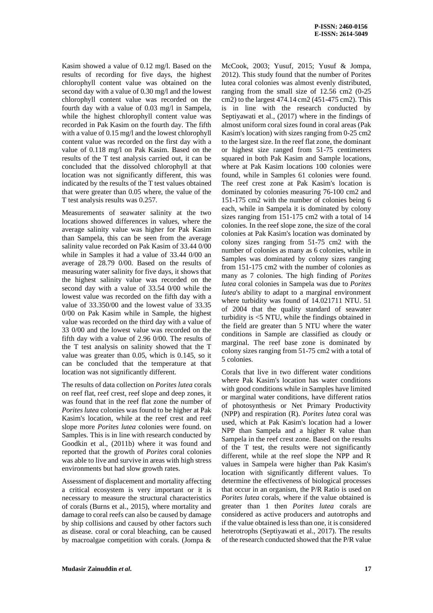Kasim showed a value of 0.12 mg/l. Based on the results of recording for five days, the highest chlorophyll content value was obtained on the second day with a value of 0.30 mg/l and the lowest chlorophyll content value was recorded on the fourth day with a value of 0.03 mg/l in Sampela, while the highest chlorophyll content value was recorded in Pak Kasim on the fourth day. The fifth with a value of 0.15 mg/l and the lowest chlorophyll content value was recorded on the first day with a value of 0.118 mg/l on Pak Kasim. Based on the results of the T test analysis carried out, it can be concluded that the dissolved chlorophyll at that location was not significantly different, this was indicated by the results of the T test values obtained that were greater than 0.05 where, the value of the T test analysis results was 0.257.

Measurements of seawater salinity at the two locations showed differences in values, where the average salinity value was higher for Pak Kasim than Sampela, this can be seen from the average salinity value recorded on Pak Kasim of 33.44 0/00 while in Samples it had a value of 33.44 0/00 an average of 28.79 0/00. Based on the results of measuring water salinity for five days, it shows that the highest salinity value was recorded on the second day with a value of 33.54 0/00 while the lowest value was recorded on the fifth day with a value of 33.350/00 and the lowest value of 33.35 0/00 on Pak Kasim while in Sample, the highest value was recorded on the third day with a value of 33 0/00 and the lowest value was recorded on the fifth day with a value of 2.96 0/00. The results of the T test analysis on salinity showed that the T value was greater than 0.05, which is 0.145, so it can be concluded that the temperature at that location was not significantly different.

The results of data collection on *Porites lutea* corals on reef flat, reef crest, reef slope and deep zones, it was found that in the reef flat zone the number of *Porites lutea* colonies was found to be higher at Pak Kasim's location, while at the reef crest and reef slope more *Porites lutea* colonies were found. on Samples. This is in line with research conducted by Goodkin et al., (2011b) where it was found and reported that the growth of *Porites* coral colonies was able to live and survive in areas with high stress environments but had slow growth rates.

Assessment of displacement and mortality affecting a critical ecosystem is very important or it is necessary to measure the structural characteristics of corals (Burns et al., 2015), where mortality and damage to coral reefs can also be caused by damage by ship collisions and caused by other factors such as disease. coral or coral bleaching, can be caused by macroalgae competition with corals. (Jompa & McCook, 2003; Yusuf, 2015; Yusuf & Jompa, 2012). This study found that the number of Porites lutea coral colonies was almost evenly distributed, ranging from the small size of 12.56 cm2 (0-25 cm2) to the largest 474.14 cm2 (451-475 cm2). This is in line with the research conducted by Septiyawati et al., (2017) where in the findings of almost uniform coral sizes found in coral areas (Pak Kasim's location) with sizes ranging from 0-25 cm2 to the largest size. In the reef flat zone, the dominant or highest size ranged from 51-75 centimeters squared in both Pak Kasim and Sample locations, where at Pak Kasim locations 100 colonies were found, while in Samples 61 colonies were found. The reef crest zone at Pak Kasim's location is dominated by colonies measuring 76-100 cm2 and 151-175 cm2 with the number of colonies being 6 each, while in Sampela it is dominated by colony sizes ranging from 151-175 cm2 with a total of 14 colonies. In the reef slope zone, the size of the coral colonies at Pak Kasim's location was dominated by colony sizes ranging from 51-75 cm2 with the number of colonies as many as 6 colonies, while in Samples was dominated by colony sizes ranging from 151-175 cm2 with the number of colonies as many as 7 colonies. The high finding of *Porites lutea* coral colonies in Sampela was due to *Porites lutea*'s ability to adapt to a marginal environment where turbidity was found of 14.021711 NTU. 51 of 2004 that the quality standard of seawater turbidity is <5 NTU, while the findings obtained in the field are greater than 5 NTU where the water conditions in Sample are classified as cloudy or marginal. The reef base zone is dominated by colony sizes ranging from 51-75 cm2 with a total of 5 colonies.

Corals that live in two different water conditions where Pak Kasim's location has water conditions with good conditions while in Samples have limited or marginal water conditions, have different ratios of photosynthesis or Net Primary Productivity (NPP) and respiration (R). *Porites lutea* coral was used, which at Pak Kasim's location had a lower NPP than Sampela and a higher R value than Sampela in the reef crest zone. Based on the results of the T test, the results were not significantly different, while at the reef slope the NPP and R values in Sampela were higher than Pak Kasim's location with significantly different values. To determine the effectiveness of biological processes that occur in an organism, the P/R Ratio is used on *Porites lutea* corals, where if the value obtained is greater than 1 then *Porites lutea* corals are considered as active producers and autotrophs and if the value obtained is less than one, it is considered heterotrophs (Septiyawati et al., 2017). The results of the research conducted showed that the P/R value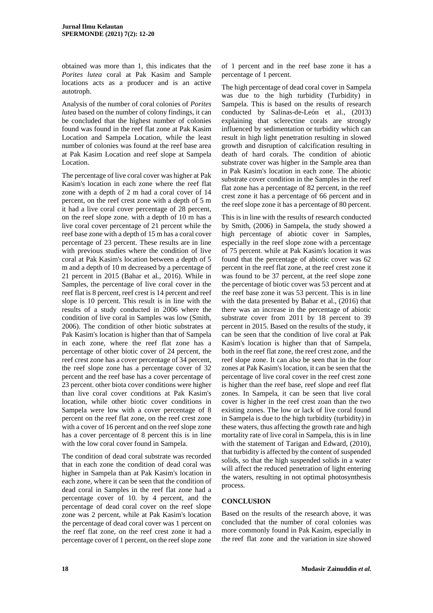obtained was more than 1, this indicates that the *Porites lutea* coral at Pak Kasim and Sample locations acts as a producer and is an active autotroph.

Analysis of the number of coral colonies of *Porites lutea* based on the number of colony findings, it can be concluded that the highest number of colonies found was found in the reef flat zone at Pak Kasim Location and Sampela Location, while the least number of colonies was found at the reef base area at Pak Kasim Location and reef slope at Sampela Location.

The percentage of live coral cover was higher at Pak Kasim's location in each zone where the reef flat zone with a depth of 2 m had a coral cover of 14 percent, on the reef crest zone with a depth of 5 m it had a live coral cover percentage of 28 percent, on the reef slope zone. with a depth of 10 m has a live coral cover percentage of 21 percent while the reef base zone with a depth of 15 m has a coral cover percentage of 23 percent. These results are in line with previous studies where the condition of live coral at Pak Kasim's location between a depth of 5 m and a depth of 10 m decreased by a percentage of 21 percent in 2015 (Bahar et al., 2016). While in Samples, the percentage of live coral cover in the reef flat is 8 percent, reef crest is 14 percent and reef slope is 10 percent. This result is in line with the results of a study conducted in 2006 where the condition of live coral in Samples was low (Smith, 2006). The condition of other biotic substrates at Pak Kasim's location is higher than that of Sampela in each zone, where the reef flat zone has a percentage of other biotic cover of 24 percent, the reef crest zone has a cover percentage of 34 percent, the reef slope zone has a percentage cover of 32 percent and the reef base has a cover percentage of 23 percent. other biota cover conditions were higher than live coral cover conditions at Pak Kasim's location, while other biotic cover conditions in Sampela were low with a cover percentage of 8 percent on the reef flat zone, on the reef crest zone with a cover of 16 percent and on the reef slope zone has a cover percentage of 8 percent this is in line with the low coral cover found in Sampela.

The condition of dead coral substrate was recorded that in each zone the condition of dead coral was higher in Sampela than at Pak Kasim's location in each zone, where it can be seen that the condition of dead coral in Samples in the reef flat zone had a percentage cover of 10. by 4 percent, and the percentage of dead coral cover on the reef slope zone was 2 percent, while at Pak Kasim's location the percentage of dead coral cover was 1 percent on the reef flat zone, on the reef crest zone it had a percentage cover of 1 percent, on the reef slope zone

of 1 percent and in the reef base zone it has a percentage of 1 percent.

The high percentage of dead coral cover in Sampela was due to the high turbidity (Turbidity) in Sampela. This is based on the results of research conducted by Salinas-de-León et al., (2013) explaining that sclerectine corals are strongly influenced by sedimentation or turbidity which can result in high light penetration resulting in slowed growth and disruption of calcification resulting in death of hard corals. The condition of abiotic substrate cover was higher in the Sample area than in Pak Kasim's location in each zone. The abiotic substrate cover condition in the Samples in the reef flat zone has a percentage of 82 percent, in the reef crest zone it has a percentage of 66 percent and in the reef slope zone it has a percentage of 80 percent.

This is in line with the results of research conducted by Smith, (2006) in Sampela, the study showed a high percentage of abiotic cover in Samples, especially in the reef slope zone with a percentage of 75 percent. while at Pak Kasim's location it was found that the percentage of abiotic cover was 62 percent in the reef flat zone, at the reef crest zone it was found to be 37 percent, at the reef slope zone the percentage of biotic cover was 53 percent and at the reef base zone it was 53 percent. This is in line with the data presented by Bahar et al., (2016) that there was an increase in the percentage of abiotic substrate cover from 2011 by 18 percent to 39 percent in 2015. Based on the results of the study, it can be seen that the condition of live coral at Pak Kasim's location is higher than that of Sampela, both in the reef flat zone, the reef crest zone, and the reef slope zone. It can also be seen that in the four zones at Pak Kasim's location, it can be seen that the percentage of live coral cover in the reef crest zone is higher than the reef base, reef slope and reef flat zones. In Sampela, it can be seen that live coral cover is higher in the reef crest zoan than the two existing zones. The low or lack of live coral found in Sampela is due to the high turbidity (turbidity) in these waters, thus affecting the growth rate and high mortality rate of live coral in Sampela, this is in line with the statement of Tarigan and Edward, (2010), that turbidity is affected by the content of suspended solids, so that the high suspended solids in a water will affect the reduced penetration of light entering the waters, resulting in not optimal photosynthesis process.

# **CONCLUSION**

Based on the results of the research above, it was concluded that the number of coral colonies was more commonly found in Pak Kasim, especially in the reef flat zone and the variation in size showed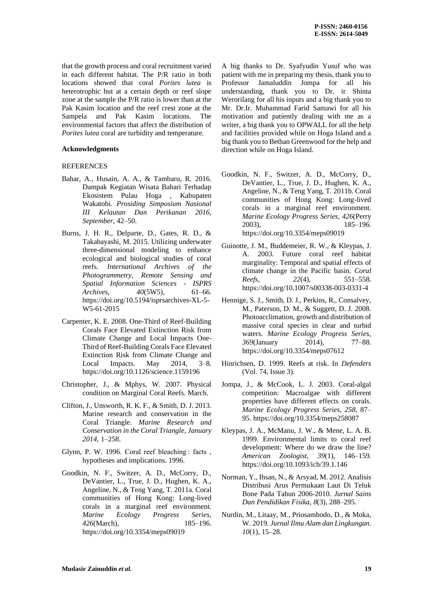that the growth process and coral recruitment varied in each different habitat. The P/R ratio in both locations showed that coral *Porites lutea* is heterotrophic but at a certain depth or reef slope zone at the sample the P/R ratio is lower than at the Pak Kasim location and the reef crest zone at the Sampela and Pak Kasim locations. The environmental factors that affect the distribution of *Porites lutea* coral are turbidity and temperature.

### **Acknowledgments**

#### **REFERENCES**

- Bahar, A., Husain, A. A., & Tambaru, R. 2016. Dampak Kegiatan Wisata Bahari Terhadap Ekosistem Pulau Hoga , Kabupaten Wakatobi. *Prosiding Simposium Nasional III Kelautan Dan Perikanan 2016*, *September*, 42–50.
- Burns, J. H. R., Delparte, D., Gates, R. D., & Takabayashi, M. 2015. Utilizing underwater three-dimensional modeling to enhance ecological and biological studies of coral reefs. *International Archives of the Photogrammetry, Remote Sensing and Spatial Information Sciences - ISPRS Archives*, *40*(5W5), 61–66. https://doi.org/10.5194/isprsarchives-XL-5- W5-61-2015
- Carpenter, K. E. 2008. One-Third of Reef-Building Corals Face Elevated Extinction Risk from Climate Change and Local Impacts One-Third of Reef-Building Corals Face Elevated Extinction Risk from Climate Change and Local Impacts. May 2014, 3–8. https://doi.org/10.1126/science.1159196
- Christopher, J., & Mphys, W. 2007. Physical condition on Marginal Coral Reefs. March.
- Clifton, J., Unsworth, R. K. F., & Smith, D. J. 2013. Marine research and conservation in the Coral Triangle. *Marine Research and Conservation in the Coral Triangle*, *January 2014*, 1–258.
- Glynn, P. W. 1996. Coral reef bleaching : facts, hypotheses and implications. 1996.
- Goodkin, N. F., Switzer, A. D., McCorry, D., DeVantier, L., True, J. D., Hughen, K. A., Angeline, N., & Teng Yang, T. 2011a. Coral communities of Hong Kong: Long-lived corals in a marginal reef environment. *Marine Ecology Progress Series*, *426*(March), 185–196. https://doi.org/10.3354/meps09019

A big thanks to Dr. Syafyudin Yusuf who was patient with me in preparing my thesis, thank you to Professor Jamaluddin Jompa for all his understanding, thank you to Dr. ir Shinta Werorilang for all his inputs and a big thank you to Mr. Dr.Ir. Muhammad Farid Samawi for all his motivation and patiently dealing with me as a writer, a big thank you to OPWALL for all the help and facilities provided while on Hoga Island and a big thank you to Bethan Greenwood for the help and direction while on Hoga Island.

- Goodkin, N. F., Switzer, A. D., McCorry, D., DeVantier, L., True, J. D., Hughen, K. A., Angeline, N., & Teng Yang, T. 2011b. Coral communities of Hong Kong: Long-lived corals in a marginal reef environment. *Marine Ecology Progress Series*, *426*(Perry 2003), 185–196. https://doi.org/10.3354/meps09019
- Guinotte, J. M., Buddemeier, R. W., & Kleypas, J. A. 2003. Future coral reef habitat marginality: Temporal and spatial effects of climate change in the Pacific basin. *Coral Reefs*, *22*(4), 551–558. https://doi.org/10.1007/s00338-003-0331-4
- Hennige, S. J., Smith, D. J., Perkins, R., Consalvey, M., Paterson, D. M., & Suggett, D. J. 2008. Photoacclimation, growth and distribution of massive coral species in clear and turbid waters. *Marine Ecology Progress Series*, *369*(January 2014), 77–88. https://doi.org/10.3354/meps07612
- Hinrichsen, D. 1999. Reefs at risk. In *Defenders* (Vol. 74, Issue 3).
- Jompa, J., & McCook, L. J. 2003. Coral-algal competition: Macroalgae with different properties have different effects on corals. *Marine Ecology Progress Series*, *258*, 87– 95. https://doi.org/10.3354/meps258087
- Kleypas, J. A., McManu, J. W., & Mene, L. A. B. 1999. Environmental limits to coral reef development: Where do we draw the line? *American Zoologist*, *39*(1), 146–159. https://doi.org/10.1093/icb/39.1.146
- Norman, Y., Ihsan, N., & Arsyad, M. 2012. Analisis Distribusi Arus Permukaan Laut Di Teluk Bone Pada Tahun 2006-2010. *Jurnal Sains Dan Pendidikan Fisika*, *8*(3), 288–295.
- Nurdin, M., Litaay, M., Priosambodo, D., & Moka, W. 2019. *Jurnal Ilmu Alam dan Lingkungan*. *10*(1), 15–28.